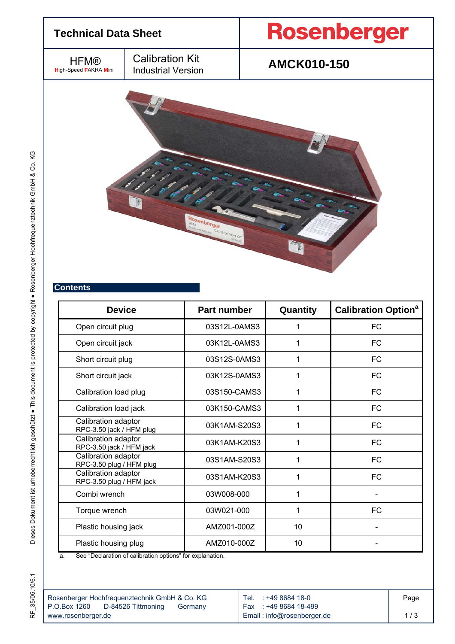

| <b>Contents</b> |  |  |  |  |  |
|-----------------|--|--|--|--|--|
|                 |  |  |  |  |  |
|                 |  |  |  |  |  |
|                 |  |  |  |  |  |

| <b>Device</b>                                   | Part number  | Quantity | <b>Calibration Option<sup>a</sup></b> |  |
|-------------------------------------------------|--------------|----------|---------------------------------------|--|
| Open circuit plug                               | 03S12L-0AMS3 |          | <b>FC</b>                             |  |
| Open circuit jack                               | 03K12L-0AMS3 |          | FC                                    |  |
| Short circuit plug                              | 03S12S-0AMS3 |          | FC                                    |  |
| Short circuit jack                              | 03K12S-0AMS3 |          | FC                                    |  |
| Calibration load plug                           | 03S150-CAMS3 |          | FC.                                   |  |
| Calibration load jack                           | 03K150-CAMS3 |          | FC                                    |  |
| Calibration adaptor<br>RPC-3.50 jack / HFM plug | 03K1AM-S20S3 |          | <b>FC</b>                             |  |
| Calibration adaptor<br>RPC-3.50 jack / HFM jack | 03K1AM-K20S3 |          | <b>FC</b>                             |  |
| Calibration adaptor<br>RPC-3.50 plug / HFM plug | 03S1AM-S20S3 | 1        | <b>FC</b>                             |  |
| Calibration adaptor<br>RPC-3.50 plug / HFM jack | 03S1AM-K20S3 | 1        | FC.                                   |  |
| Combi wrench                                    | 03W008-000   |          |                                       |  |
| Torque wrench                                   | 03W021-000   | 1        | <b>FC</b>                             |  |
| Plastic housing jack                            | AMZ001-000Z  | 10       |                                       |  |
| Plastic housing plug                            | AMZ010-000Z  | 10       |                                       |  |

a. See "Declaration of calibration options" for explanation.

|                    | Rosenberger Hochfrequenztechnik GmbH & Co. KG |         | Tel. : +49 8684 18-0       |
|--------------------|-----------------------------------------------|---------|----------------------------|
| I P.O.Box 1260     | D-84526 Tittmoning                            | Germany | Fax : +49 8684 18-499      |
| www.rosenberger.de |                                               |         | Email: info@rosenberger.de |

Page 1 / 3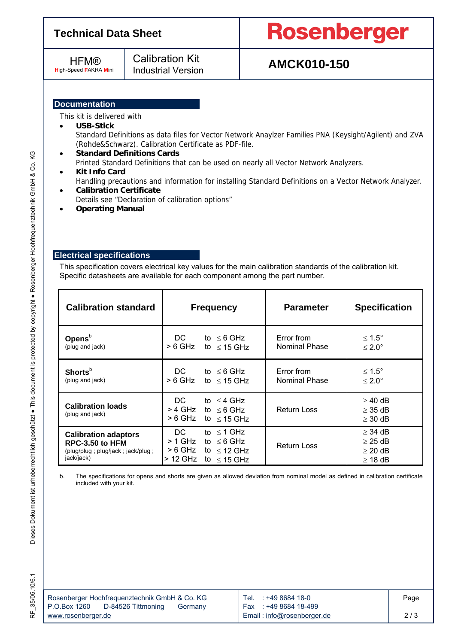### **Technical Data Sheet**

**HFM® H**igh-Speed **F**AKRA **M**ini

## Calibration Kit

# **Rosenberger**

## Industrial Version **AMCK010-150**

### **Documentation**

This kit is delivered with

### **USB-Stick**

Standard Definitions as data files for Vector Network Anaylzer Families PNA (Keysight/Agilent) and ZVA (Rohde&Schwarz). Calibration Certificate as PDF-file.

### **Standard Definitions Cards**

Printed Standard Definitions that can be used on nearly all Vector Network Analyzers.

- **Kit Info Card**  Handling precautions and information for installing Standard Definitions on a Vector Network Analyzer.
- **Calibration Certificate**  Details see "Declaration of calibration options"
- **Operating Manual**

#### **Electrical specifications**

This specification covers electrical key values for the main calibration standards of the calibration kit. Specific datasheets are available for each component among the part number.

| <b>Calibration standard</b>                                                                       | <b>Frequency</b>                                                                                                            | <b>Parameter</b>                   | <b>Specification</b>                                         |  |
|---------------------------------------------------------------------------------------------------|-----------------------------------------------------------------------------------------------------------------------------|------------------------------------|--------------------------------------------------------------|--|
| Opens $b$<br>(plug and jack)                                                                      | DC.<br>to $\leq 6$ GHz<br>> 6 GHz<br>to $\leq$ 15 GHz                                                                       | Error from<br>Nominal Phase        | ≤ 1.5°<br>$\leq 2.0^{\circ}$                                 |  |
| <b>Shorts</b> <sup>b</sup><br>(plug and jack)                                                     | DC.<br>to $\leq 6$ GHz<br>> 6 GHz<br>to $\leq$ 15 GHz                                                                       | Error from<br><b>Nominal Phase</b> | ≤ 1.5°<br>$\leq 2.0^{\circ}$                                 |  |
| <b>Calibration loads</b><br>(plug and jack)                                                       | DC.<br>to $\leq$ 4 GHz<br>> 4 GHz<br>to $\leq 6$ GHz<br>> 6 GHz<br>to $\leq$ 15 GHz                                         | <b>Return Loss</b>                 | $\geq$ 40 dB<br>$\geq$ 35 dB<br>$\geq$ 30 dB                 |  |
| <b>Calibration adaptors</b><br>RPC-3.50 to HFM<br>(plug/plug; plug/jack; jack/plug;<br>jack/jack) | $\leq$ 1 GHz<br>DC.<br>t٥<br>$>$ 1 GHz<br>to $\leq 6$ GHz<br>> 6 GHz<br>to $\leq$ 12 GHz<br>> 12 GHz<br>to<br>$\leq$ 15 GHz | <b>Return Loss</b>                 | $\geq$ 34 dB<br>$\geq$ 25 dB<br>$\geq$ 20 dB<br>$\geq$ 18 dB |  |

b. The specifications for opens and shorts are given as allowed deviation from nominal model as defined in calibration certificate included with your kit.

ΚG

|                    | Rosenberger Hochfrequenztechnik GmbH & Co. KG |         |
|--------------------|-----------------------------------------------|---------|
| P.O.Box 1260       | D-84526 Tittmoning                            | Germany |
| www.rosenberger.de |                                               |         |

Tel. : +49 8684 18-0 Fax : +49 8684 18-499 Email : info@rosenberger.de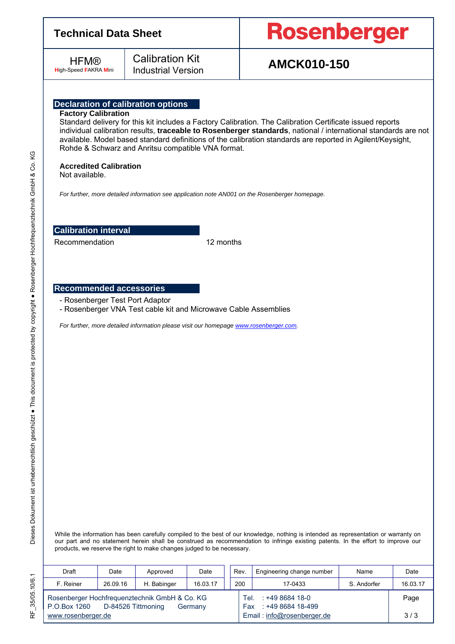### **Technical Data Sheet**

**HFM® H**igh-Speed **F**AKRA **M**ini

## Calibration Kit

# **Rosenberger**

## Industrial Version **AMCK010-150**

### **Declaration of calibration options**

#### **Factory Calibration**

Standard delivery for this kit includes a Factory Calibration. The Calibration Certificate issued reports individual calibration results, **traceable to Rosenberger standards**, national / international standards are not available. Model based standard definitions of the calibration standards are reported in Agilent/Keysight, Rohde & Schwarz and Anritsu compatible VNA format.

#### **Accredited Calibration**

Not available.

*For further, more detailed information see application note AN001 on the Rosenberger homepage.* 

### **Calibration interval**

Recommendation 12 months

#### **Recommended accessories**

- Rosenberger Test Port Adaptor
- Rosenberger VNA Test cable kit and Microwave Cable Assemblies

*For further, more detailed information please visit our homepage www.rosenberger.com.* 

While the information has been carefully compiled to the best of our knowledge, nothing is intended as representation or warranty on our part and no statement herein shall be construed as recommendation to infringe existing patents. In the effort to improve our products, we reserve the right to make changes judged to be necessary.

| Draft                                                                                          | Date     | Approved    | Date     |                            | Rev.                                        | Engineering change number | Name        | Date     |
|------------------------------------------------------------------------------------------------|----------|-------------|----------|----------------------------|---------------------------------------------|---------------------------|-------------|----------|
| F. Reiner                                                                                      | 26.09.16 | H. Babinger | 16.03.17 |                            | 200                                         | 17-0433                   | S. Andorfer | 16.03.17 |
| Rosenberger Hochfrequenztechnik GmbH & Co. KG<br>P.O.Box 1260<br>D-84526 Tittmoning<br>Germany |          |             |          | Tel.                       | $: +49868418 - 0$<br>Fax: : +49 8684 18-499 |                           | Page        |          |
| www.rosenberger.de                                                                             |          |             |          | Email: info@rosenberger.de |                                             | 3/3                       |             |          |

RF\_35/05.10/6.1 RF\_35/05.10/6.1